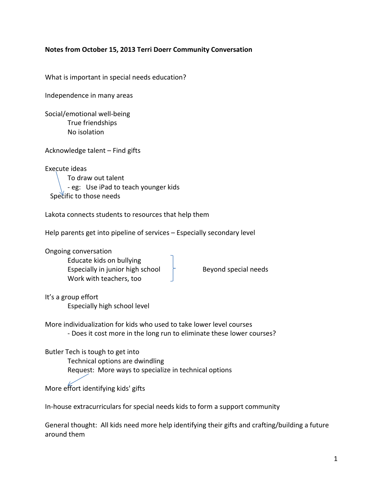# **Notes from October 15, 2013 Terri Doerr Community Conversation**

What is important in special needs education?

Independence in many areas

Social/emotional well-being True friendships No isolation

Acknowledge talent – Find gifts

Execute ideas To draw out talent - eg: Use iPad to teach younger kids Specific to those needs

Lakota connects students to resources that help them

Help parents get into pipeline of services – Especially secondary level

Ongoing conversation Educate kids on bullying Especially in junior high school  $\uparrow$  Beyond special needs Work with teachers, too

It's a group effort Especially high school level

More individualization for kids who used to take lower level courses

- Does it cost more in the long run to eliminate these lower courses?

### Butler Tech is tough to get into

Technical options are dwindling

Request: More ways to specialize in technical options

More effort identifying kids' gifts

In-house extracurriculars for special needs kids to form a support community

General thought: All kids need more help identifying their gifts and crafting/building a future around them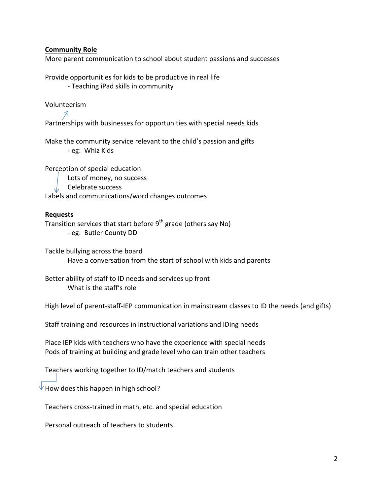### **Community Role**

More parent communication to school about student passions and successes

Provide opportunities for kids to be productive in real life - Teaching iPad skills in community

Volunteerism

Partnerships with businesses for opportunities with special needs kids

Make the community service relevant to the child's passion and gifts - eg: Whiz Kids

Perception of special education Lots of money, no success Celebrate success Labels and communications/word changes outcomes

### **Requests**

Transition services that start before  $9<sup>th</sup>$  grade (others say No) - eg: Butler County DD

Tackle bullying across the board Have a conversation from the start of school with kids and parents

Better ability of staff to ID needs and services up front What is the staff's role

High level of parent-staff-IEP communication in mainstream classes to ID the needs (and gifts)

Staff training and resources in instructional variations and IDing needs

Place IEP kids with teachers who have the experience with special needs Pods of training at building and grade level who can train other teachers

Teachers working together to ID/match teachers and students

How does this happen in high school?

Teachers cross-trained in math, etc. and special education

Personal outreach of teachers to students